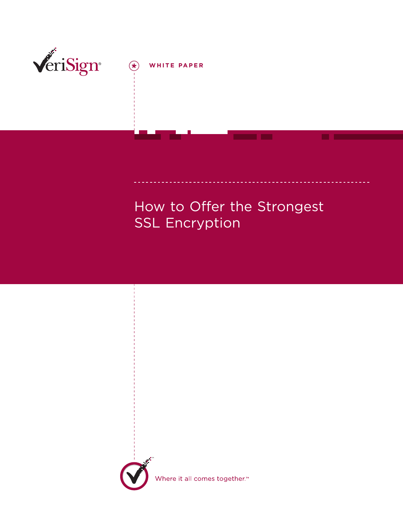

How to Offer the Strongest SSL Encryption



Where it all comes together.<sup>™</sup>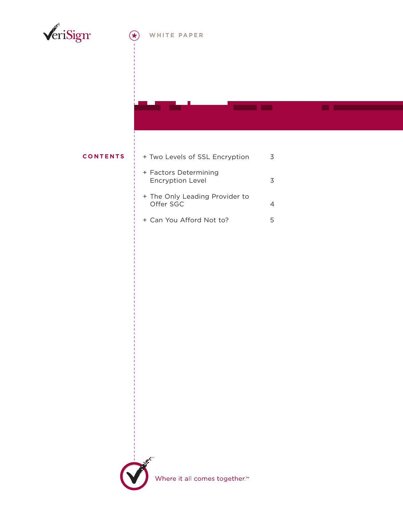

### **WHITE PAPER**

### **CONTENTS**

| + Two Levels of SSL Encryption                   |   |
|--------------------------------------------------|---|
| + Factors Determining<br><b>Encryption Level</b> | κ |
| + The Only Leading Provider to<br>Offer SGC      |   |
| + Can You Afford Not to?                         |   |

**COMMERCIAL** 



Where it all comes together.<sup>™</sup>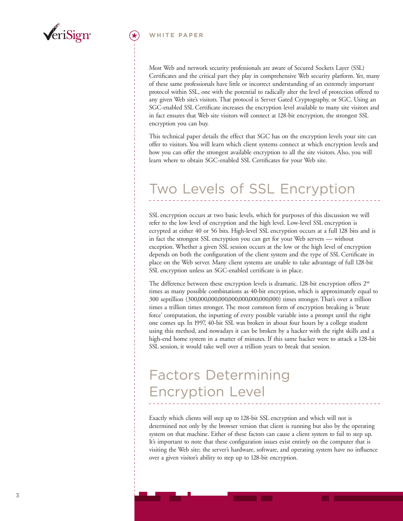

#### **WHITE PAPER**

Most Web and network security professionals are aware of Secured Sockets Layer (SSL) Certificates and the critical part they play in comprehensive Web security platform. Yet, many of these same professionals have little or incorrect understanding of an extremely important protocol within SSL, one with the potential to radically alter the level of protection offered to any given Web site's visitors. That protocol is Server Gated Cryptography, or SGC. Using an SGC-enabled SSL Certificate increases the encryption level available to many site visitors and in fact ensures that Web site visitors will connect at 128-bit encryption, the strongest SSL encryption you can buy.

This technical paper details the effect that SGC has on the encryption levels your site can offer to visitors. You will learn which client systems connect at which encryption levels and how you can offer the strongest available encryption to all the site visitors. Also, you will learn where to obtain SGC-enabled SSL Certificates for your Web site.

# Two Levels of SSL Encryption

SSL encryption occurs at two basic levels, which for purposes of this discussion we will refer to the low level of encryption and the high level. Low-level SSL encryption is ecrypted at either 40 or 56 bits. High-level SSL encryption occurs at a full 128 bits and is in fact the strongest SSL encryption you can get for your Web servers — without exception. Whether a given SSL session occurs at the low or the high level of encryption depends on both the configuration of the client system and the type of SSL Certificate in place on the Web server. Many client systems are unable to take advantage of full 128-bit SSL encryption unless an SGC-enabled certificate is in place.

The difference between these encryption levels is dramatic. 128-bit encryption offers 2<sup>88</sup> times as many possible combinations as 40-bit encryption, which is approximately equal to 300 septillion (300,000,000,000,000,000,000,000,000) times stronger. That's over a trillion times a trillion times stronger. The most common form of encryption breaking is 'brute force' computation, the inputting of every possible variable into a prompt until the right one comes up. In 1997, 40-bit SSL was broken in about four hours by a college student using this method, and nowadays it can be broken by a hacker with the right skills and a high-end home system in a matter of minutes. If this same hacker were to attack a 128-bit SSL session, it would take well over a trillion years to break that session.

## Factors Determining Encryption Level

Exactly which clients will step up to 128-bit SSL encryption and which will not is determined not only by the browser version that client is running but also by the operating system on that machine. Either of these factors can cause a client system to fail to step up. It's important to note that these configuration issues exist entirely on the computer that is visiting the Web site; the server's hardware, software, and operating system have no influence over a given visitor's ability to step up to 128-bit encryption.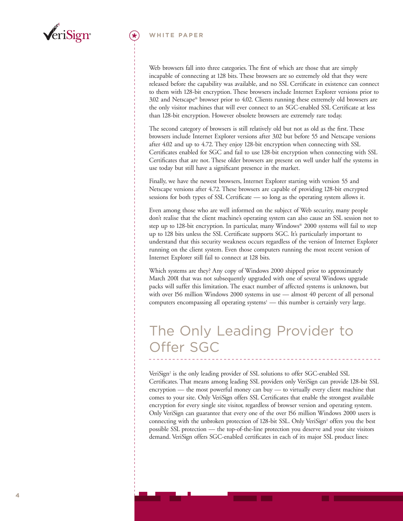

#### **WHITE PAPER**

Web browsers fall into three categories. The first of which are those that are simply incapable of connecting at 128 bits. These browsers are so extremely old that they were released before the capability was available, and no SSL Certificate in existence can connect to them with 128-bit encryption. These browsers include Internet Explorer versions prior to 3.02 and Netscape® browser prior to 4.02. Clients running these extremely old browsers are the only visitor machines that will ever connect to an SGC-enabled SSL Certificate at less than 128-bit encryption. However obsolete browsers are extremely rare today.

The second category of browsers is still relatively old but not as old as the first. These browsers include Internet Explorer versions after 3.02 but before 55 and Netscape versions after 4.02 and up to 4.72. They enjoy 128-bit encryption when connecting with SSL Certificates enabled for SGC and fail to use 128-bit encryption when connecting with SSL Certificates that are not. These older browsers are present on well under half the systems in use today but still have a significant presence in the market.

Finally, we have the newest browsers, Internet Explorer starting with version 55 and Netscape versions after 4.72. These browsers are capable of providing 128-bit encrypted sessions for both types of SSL Certificate — so long as the operating system allows it.

Even among those who are well informed on the subject of Web security, many people don't realise that the client machine's operating system can also cause an SSL session not to step up to 128-bit encryption. In particular, many Windows® 2000 systems will fail to step up to 128 bits unless the SSL Certificate supports SGC. It's particularly important to understand that this security weakness occurs regardless of the version of Internet Explorer running on the client system. Even those computers running the most recent version of Internet Explorer still fail to connect at 128 bits.

Which systems are they? Any copy of Windows 2000 shipped prior to approximately March 2001 that was not subsequently upgraded with one of several Windows upgrade packs will suffer this limitation. The exact number of affected systems is unknown, but with over 156 million Windows 2000 systems in use — almost 40 percent of all personal computers encompassing all operating systems<sup>1</sup> — this number is certainly very large.

## The Only Leading Provider to Offer SGC

VeriSign<sup>2</sup> is the only leading provider of SSL solutions to offer SGC-enabled SSL Certificates. That means among leading SSL providers only VeriSign can provide 128-bit SSL encryption — the most powerful money can buy — to virtually every client machine that comes to your site. Only VeriSign offers SSL Certificates that enable the strongest available encryption for every single site visitor, regardless of browser version and operating system. Only VeriSign can guarantee that every one of the over 156 million Windows 2000 users is connecting with the unbroken protection of 128-bit SSL. Only VeriSign<sup>2</sup> offers you the best possible SSL protection — the top-of-the-line protection you deserve and your site visitors demand. VeriSign offers SGC-enabled certificates in each of its major SSL product lines: